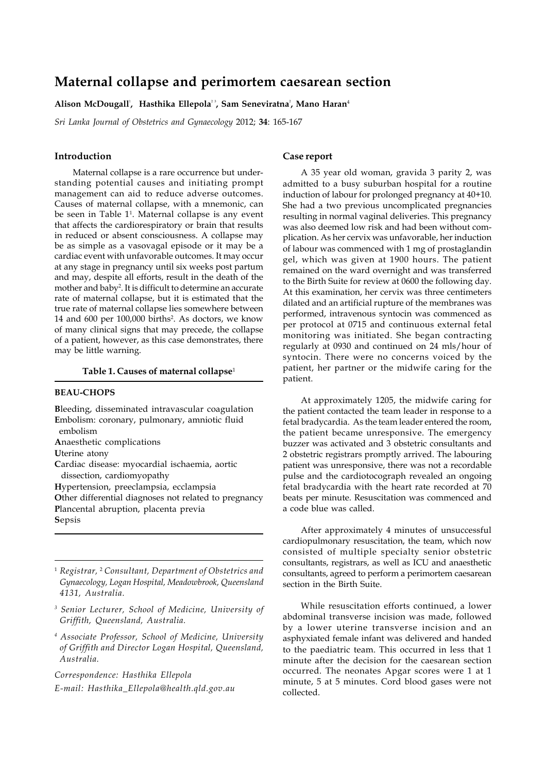# **Maternal collapse and perimortem caesarean section**

#### Alison McDougall', Hasthika Ellepola<sup>23</sup>, Sam Seneviratna<sup>2</sup>, Mano Haran<sup>4</sup>

*Sri Lanka Journal of Obstetrics and Gynaecology* 2012; **34**: 165-167

# **Introduction**

Maternal collapse is a rare occurrence but understanding potential causes and initiating prompt management can aid to reduce adverse outcomes. Causes of maternal collapse, with a mnemonic, can be seen in Table 11 . Maternal collapse is any event that affects the cardiorespiratory or brain that results in reduced or absent consciousness. A collapse may be as simple as a vasovagal episode or it may be a cardiac event with unfavorable outcomes. It may occur at any stage in pregnancy until six weeks post partum and may, despite all efforts, result in the death of the mother and baby<sup>2</sup>. It is difficult to determine an accurate rate of maternal collapse, but it is estimated that the true rate of maternal collapse lies somewhere between 14 and 600 per 100,000 births<sup>2</sup>. As doctors, we know of many clinical signs that may precede, the collapse of a patient, however, as this case demonstrates, there may be little warning.

### **Table 1. Causes of maternal collapse**<sup>1</sup>

## **BEAU-CHOPS**

**B**leeding, disseminated intravascular coagulation **E**mbolism: coronary, pulmonary, amniotic fluid embolism **A**naesthetic complications **U**terine atony **C**ardiac disease: myocardial ischaemia, aortic dissection, cardiomyopathy **H**ypertension, preeclampsia, ecclampsia

**O**ther differential diagnoses not related to pregnancy **P**lancental abruption, placenta previa **S**epsis

<sup>1</sup> *Registrar,* <sup>2</sup>  *Consultant, Department of Obstetrics and Gynaecology, Logan Hospital, Meadowbrook, Queensland 4131, Australia.*

- *3 Senior Lecturer, School of Medicine, University of Griffith, Queensland, Australia.*
- *4 Associate Professor, School of Medicine, University of Griffith and Director Logan Hospital, Queensland, Australia.*

*Correspondence: Hasthika Ellepola E-mail: Hasthika\_Ellepola@health.qld.gov.au*

# **Case report**

A 35 year old woman, gravida 3 parity 2, was admitted to a busy suburban hospital for a routine induction of labour for prolonged pregnancy at 40+10. She had a two previous uncomplicated pregnancies resulting in normal vaginal deliveries. This pregnancy was also deemed low risk and had been without complication. As her cervix was unfavorable, her induction of labour was commenced with 1 mg of prostaglandin gel, which was given at 1900 hours. The patient remained on the ward overnight and was transferred to the Birth Suite for review at 0600 the following day. At this examination, her cervix was three centimeters dilated and an artificial rupture of the membranes was performed, intravenous syntocin was commenced as per protocol at 0715 and continuous external fetal monitoring was initiated. She began contracting regularly at 0930 and continued on 24 mls/hour of syntocin. There were no concerns voiced by the patient, her partner or the midwife caring for the patient.

At approximately 1205, the midwife caring for the patient contacted the team leader in response to a fetal bradycardia. As the team leader entered the room, the patient became unresponsive. The emergency buzzer was activated and 3 obstetric consultants and 2 obstetric registrars promptly arrived. The labouring patient was unresponsive, there was not a recordable pulse and the cardiotocograph revealed an ongoing fetal bradycardia with the heart rate recorded at 70 beats per minute. Resuscitation was commenced and a code blue was called.

After approximately 4 minutes of unsuccessful cardiopulmonary resuscitation, the team, which now consisted of multiple specialty senior obstetric consultants, registrars, as well as ICU and anaesthetic consultants, agreed to perform a perimortem caesarean section in the Birth Suite.

While resuscitation efforts continued, a lower abdominal transverse incision was made, followed by a lower uterine transverse incision and an asphyxiated female infant was delivered and handed to the paediatric team. This occurred in less that 1 minute after the decision for the caesarean section occurred. The neonates Apgar scores were 1 at 1 minute, 5 at 5 minutes. Cord blood gases were not collected.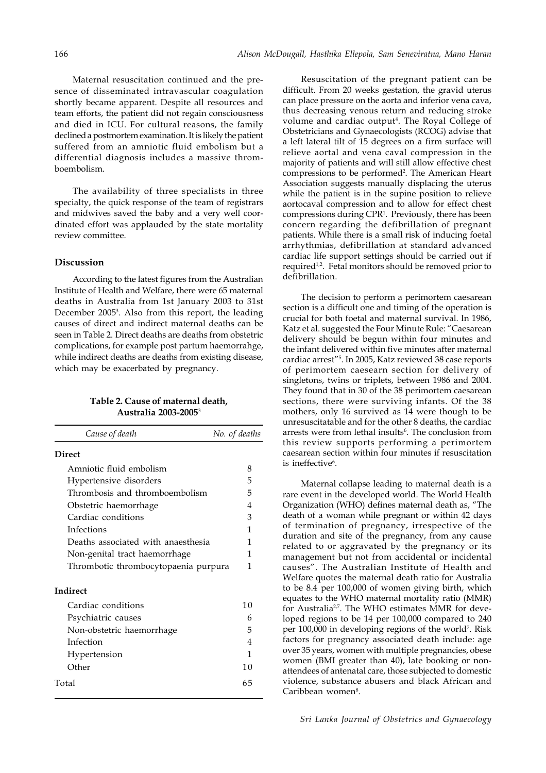Maternal resuscitation continued and the presence of disseminated intravascular coagulation shortly became apparent. Despite all resources and team efforts, the patient did not regain consciousness and died in ICU. For cultural reasons, the family declined a postmortem examination. It is likely the patient suffered from an amniotic fluid embolism but a differential diagnosis includes a massive thromboembolism.

The availability of three specialists in three specialty, the quick response of the team of registrars and midwives saved the baby and a very well coordinated effort was applauded by the state mortality review committee.

### **Discussion**

According to the latest figures from the Australian Institute of Health and Welfare, there were 65 maternal deaths in Australia from 1st January 2003 to 31st December 2005<sup>3</sup>. Also from this report, the leading causes of direct and indirect maternal deaths can be seen in Table 2. Direct deaths are deaths from obstetric complications, for example post partum haemorrahge, while indirect deaths are deaths from existing disease, which may be exacerbated by pregnancy.

# **Table 2. Cause of maternal death, Australia 2003-2005**<sup>3</sup>

| Cause of death                       | No. of deaths  |
|--------------------------------------|----------------|
| <b>Direct</b>                        |                |
| Amniotic fluid embolism              | 8              |
| Hypertensive disorders               | 5              |
| Thrombosis and thromboembolism       | 5              |
| Obstetric haemorrhage                | 4              |
| Cardiac conditions                   | 3              |
| Infections                           | 1              |
| Deaths associated with anaesthesia   | 1              |
| Non-genital tract haemorrhage        | 1              |
| Thrombotic thrombocytopaenia purpura | 1              |
| <b>Indirect</b>                      |                |
| Cardiac conditions                   | 1 <sub>0</sub> |
| Psychiatric causes                   | 6              |
| Non-obstetric haemorrhage            | 5              |
| Infection                            | 4              |
| Hypertension                         | 1              |
| Other                                | 1 <sub>0</sub> |
| Total                                | 65             |

Resuscitation of the pregnant patient can be difficult. From 20 weeks gestation, the gravid uterus can place pressure on the aorta and inferior vena cava, thus decreasing venous return and reducing stroke volume and cardiac output<sup>4</sup>. The Royal College of Obstetricians and Gynaecologists (RCOG) advise that a left lateral tilt of 15 degrees on a firm surface will relieve aortal and vena caval compression in the majority of patients and will still allow effective chest compressions to be performed<sup>2</sup>. The American Heart Association suggests manually displacing the uterus while the patient is in the supine position to relieve aortocaval compression and to allow for effect chest compressions during CPR1 . Previously, there has been concern regarding the defibrillation of pregnant patients. While there is a small risk of inducing foetal arrhythmias, defibrillation at standard advanced cardiac life support settings should be carried out if required<sup>1,2</sup>. Fetal monitors should be removed prior to defibrillation.

The decision to perform a perimortem caesarean section is a difficult one and timing of the operation is crucial for both foetal and maternal survival. In 1986, Katz et al. suggested the Four Minute Rule: "Caesarean delivery should be begun within four minutes and the infant delivered within five minutes after maternal cardiac arrest"5 . In 2005, Katz reviewed 38 case reports of perimortem caesearn section for delivery of singletons, twins or triplets, between 1986 and 2004. They found that in 30 of the 38 perimortem caesarean sections, there were surviving infants. Of the 38 mothers, only 16 survived as 14 were though to be unresuscitatable and for the other 8 deaths, the cardiac arrests were from lethal insults<sup>6</sup>. The conclusion from this review supports performing a perimortem caesarean section within four minutes if resuscitation is ineffective<sup>6</sup>.

Maternal collapse leading to maternal death is a rare event in the developed world. The World Health Organization (WHO) defines maternal death as, "The death of a woman while pregnant or within 42 days of termination of pregnancy, irrespective of the duration and site of the pregnancy, from any cause related to or aggravated by the pregnancy or its management but not from accidental or incidental causes". The Australian Institute of Health and Welfare quotes the maternal death ratio for Australia to be 8.4 per 100,000 of women giving birth, which equates to the WHO maternal mortality ratio (MMR) for Australia<sup>2,7</sup>. The WHO estimates MMR for developed regions to be 14 per 100,000 compared to 240 per 100,000 in developing regions of the world<sup>7</sup>. Risk factors for pregnancy associated death include: age over 35 years, women with multiple pregnancies, obese women (BMI greater than 40), late booking or nonattendees of antenatal care, those subjected to domestic violence, substance abusers and black African and Caribbean women<sup>8</sup>.

*Sri Lanka Journal of Obstetrics and Gynaecology*